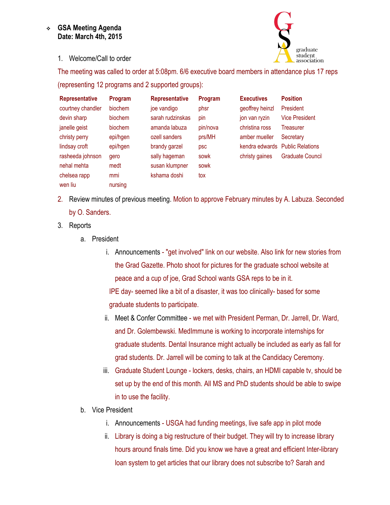## **GSA Meeting Agenda Date: March 4th, 2015**



1. Welcome/Call to order

The meeting was called to order at 5:08pm. 6/6 executive board members in attendance plus 17 reps (representing 12 programs and 2 supported groups):

| <b>Representative</b> | Program  | <b>Representative</b> | Program  | <b>Executives</b> | <b>Position</b>         |
|-----------------------|----------|-----------------------|----------|-------------------|-------------------------|
| courtney chandler     | biochem  | joe vandigo           | phsr     | geoffrey heinzl   | President               |
| devin sharp           | biochem  | sarah rudzinskas      | pin      | jon van ryzin     | <b>Vice President</b>   |
| janelle geist         | biochem  | amanda labuza         | pin/nova | christina ross    | Treasurer               |
| christy perry         | epi/hgen | ozell sanders         | prs/MH   | amber mueller     | Secretary               |
| lindsay croft         | epi/hgen | brandy garzel         | psc      | kendra edwards    | <b>Public Relations</b> |
| rasheeda johnson      | gero     | sally hageman         | sowk     | christy gaines    | <b>Graduate Council</b> |
| nehal mehta           | medt     | susan klumpner        | sowk     |                   |                         |
| chelsea rapp          | mmi      | kshama doshi          | tox      |                   |                         |
| wen liu               | nursing  |                       |          |                   |                         |

- 2. Review minutes of previous meeting. Motion to approve February minutes by A. Labuza. Seconded by O. Sanders.
- 3. Reports
	- a. President
		- i. Announcements "get involved" link on our website. Also link for new stories from the Grad Gazette. Photo shoot for pictures for the graduate school website at peace and a cup of joe, Grad School wants GSA reps to be in it. IPE day- seemed like a bit of a disaster, it was too clinically- based for some graduate students to participate.
		- ii. Meet & Confer Committee we met with President Perman, Dr. Jarrell, Dr. Ward, and Dr. Golembewski. MedImmune is working to incorporate internships for graduate students. Dental Insurance might actually be included as early as fall for grad students. Dr. Jarrell will be coming to talk at the Candidacy Ceremony.
		- iii. Graduate Student Lounge lockers, desks, chairs, an HDMI capable tv, should be set up by the end of this month. All MS and PhD students should be able to swipe in to use the facility.
	- b. Vice President
		- i. Announcements USGA had funding meetings, live safe app in pilot mode
		- ii. Library is doing a big restructure of their budget. They will try to increase library hours around finals time. Did you know we have a great and efficient Inter-library loan system to get articles that our library does not subscribe to? Sarah and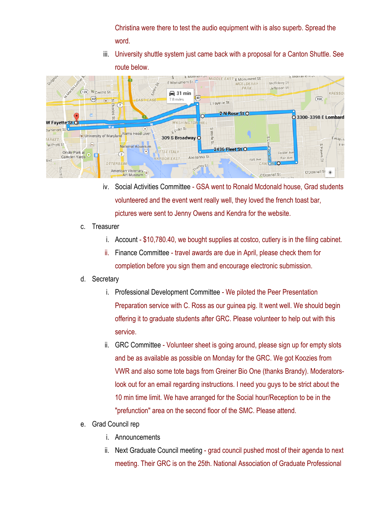Christina were there to test the audio equipment with is also superb. Spread the word.

iii. University shuttle system just came back with a proposal for a Canton Shuttle. See route below.



- iv. Social Activities Committee GSA went to Ronald Mcdonald house, Grad students volunteered and the event went really well, they loved the french toast bar, pictures were sent to Jenny Owens and Kendra for the website.
- c. Treasurer
	- i. Account \$10,780.40, we bought supplies at costco, cutlery is in the filing cabinet.
	- ii. Finance Committee travel awards are due in April, please check them for completion before you sign them and encourage electronic submission.

## d. Secretary

- i. Professional Development Committee We piloted the Peer Presentation Preparation service with C. Ross as our guinea pig. It went well. We should begin offering it to graduate students after GRC. Please volunteer to help out with this service.
- ii. GRC Committee Volunteer sheet is going around, please sign up for empty slots and be as available as possible on Monday for the GRC. We got Koozies from VWR and also some tote bags from Greiner Bio One (thanks Brandy). Moderatorslook out for an email regarding instructions. I need you guys to be strict about the 10 min time limit. We have arranged for the Social hour/Reception to be in the "prefunction" area on the second floor of the SMC. Please attend.
- e. Grad Council rep
	- i. Announcements
	- ii. Next Graduate Council meeting grad council pushed most of their agenda to next meeting. Their GRC is on the 25th. National Association of Graduate Professional